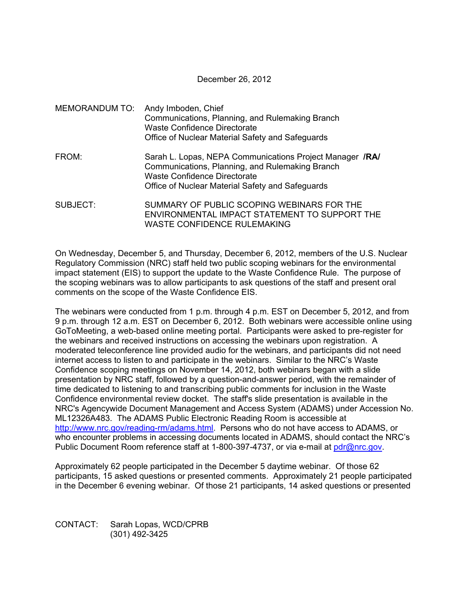December 26, 2012

|          | MEMORANDUM TO: Andy Imboden, Chief<br>Communications, Planning, and Rulemaking Branch<br><b>Waste Confidence Directorate</b><br>Office of Nuclear Material Safety and Safeguards                       |
|----------|--------------------------------------------------------------------------------------------------------------------------------------------------------------------------------------------------------|
| FROM:    | Sarah L. Lopas, NEPA Communications Project Manager /RA/<br>Communications, Planning, and Rulemaking Branch<br><b>Waste Confidence Directorate</b><br>Office of Nuclear Material Safety and Safeguards |
| SUBJECT: | SUMMARY OF PUBLIC SCOPING WEBINARS FOR THE<br>ENVIRONMENTAL IMPACT STATEMENT TO SUPPORT THE<br>WASTE CONFIDENCE RULEMAKING                                                                             |

On Wednesday, December 5, and Thursday, December 6, 2012, members of the U.S. Nuclear Regulatory Commission (NRC) staff held two public scoping webinars for the environmental impact statement (EIS) to support the update to the Waste Confidence Rule. The purpose of the scoping webinars was to allow participants to ask questions of the staff and present oral comments on the scope of the Waste Confidence EIS.

The webinars were conducted from 1 p.m. through 4 p.m. EST on December 5, 2012, and from 9 p.m. through 12 a.m. EST on December 6, 2012. Both webinars were accessible online using GoToMeeting, a web-based online meeting portal. Participants were asked to pre-register for the webinars and received instructions on accessing the webinars upon registration. A moderated teleconference line provided audio for the webinars, and participants did not need internet access to listen to and participate in the webinars. Similar to the NRC's Waste Confidence scoping meetings on November 14, 2012, both webinars began with a slide presentation by NRC staff, followed by a question-and-answer period, with the remainder of time dedicated to listening to and transcribing public comments for inclusion in the Waste Confidence environmental review docket. The staff's slide presentation is available in the NRC's Agencywide Document Management and Access System (ADAMS) under Accession No. ML12326A483. The ADAMS Public Electronic Reading Room is accessible at http://www.nrc.gov/reading-rm/adams.html. Persons who do not have access to ADAMS, or who encounter problems in accessing documents located in ADAMS, should contact the NRC's Public Document Room reference staff at 1-800-397-4737, or via e-mail at pdr@nrc.gov.

Approximately 62 people participated in the December 5 daytime webinar. Of those 62 participants, 15 asked questions or presented comments. Approximately 21 people participated in the December 6 evening webinar. Of those 21 participants, 14 asked questions or presented

CONTACT: Sarah Lopas, WCD/CPRB (301) 492-3425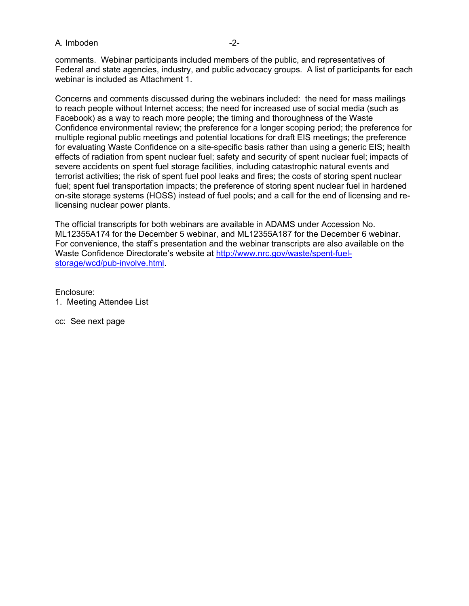## A. Imboden -2-

comments. Webinar participants included members of the public, and representatives of Federal and state agencies, industry, and public advocacy groups. A list of participants for each webinar is included as Attachment 1.

Concerns and comments discussed during the webinars included: the need for mass mailings to reach people without Internet access; the need for increased use of social media (such as Facebook) as a way to reach more people; the timing and thoroughness of the Waste Confidence environmental review; the preference for a longer scoping period; the preference for multiple regional public meetings and potential locations for draft EIS meetings; the preference for evaluating Waste Confidence on a site-specific basis rather than using a generic EIS; health effects of radiation from spent nuclear fuel; safety and security of spent nuclear fuel; impacts of severe accidents on spent fuel storage facilities, including catastrophic natural events and terrorist activities; the risk of spent fuel pool leaks and fires; the costs of storing spent nuclear fuel; spent fuel transportation impacts; the preference of storing spent nuclear fuel in hardened on-site storage systems (HOSS) instead of fuel pools; and a call for the end of licensing and relicensing nuclear power plants.

The official transcripts for both webinars are available in ADAMS under Accession No. ML12355A174 for the December 5 webinar, and ML12355A187 for the December 6 webinar. For convenience, the staff's presentation and the webinar transcripts are also available on the Waste Confidence Directorate's website at http://www.nrc.gov/waste/spent-fuelstorage/wcd/pub-involve.html.

Enclosure: 1. Meeting Attendee List

cc: See next page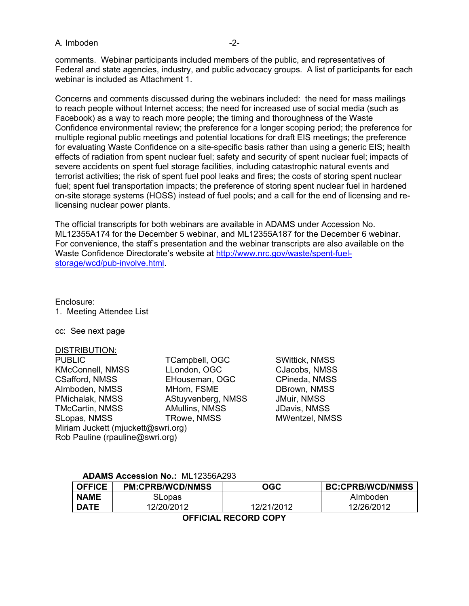## A. Imboden -2-

comments. Webinar participants included members of the public, and representatives of Federal and state agencies, industry, and public advocacy groups. A list of participants for each webinar is included as Attachment 1.

Concerns and comments discussed during the webinars included: the need for mass mailings to reach people without Internet access; the need for increased use of social media (such as Facebook) as a way to reach more people; the timing and thoroughness of the Waste Confidence environmental review; the preference for a longer scoping period; the preference for multiple regional public meetings and potential locations for draft EIS meetings; the preference for evaluating Waste Confidence on a site-specific basis rather than using a generic EIS; health effects of radiation from spent nuclear fuel; safety and security of spent nuclear fuel; impacts of severe accidents on spent fuel storage facilities, including catastrophic natural events and terrorist activities; the risk of spent fuel pool leaks and fires; the costs of storing spent nuclear fuel; spent fuel transportation impacts; the preference of storing spent nuclear fuel in hardened on-site storage systems (HOSS) instead of fuel pools; and a call for the end of licensing and relicensing nuclear power plants.

The official transcripts for both webinars are available in ADAMS under Accession No. ML12355A174 for the December 5 webinar, and ML12355A187 for the December 6 webinar. For convenience, the staff's presentation and the webinar transcripts are also available on the Waste Confidence Directorate's website at http://www.nrc.gov/waste/spent-fuelstorage/wcd/pub-involve.html.

Enclosure:

1. Meeting Attendee List

cc: See next page

DISTRIBUTION:

| TCampbell, OGC                     |  |  |
|------------------------------------|--|--|
| LLondon, OGC                       |  |  |
| EHouseman, OGC                     |  |  |
| MHorn, FSME                        |  |  |
| AStuyvenberg, NMSS                 |  |  |
| <b>AMullins, NMSS</b>              |  |  |
| TRowe, NMSS                        |  |  |
| Miriam Juckett (mjuckett@swri.org) |  |  |
| Rob Pauline (rpauline@swri.org)    |  |  |
|                                    |  |  |

SWittick, NMSS CJacobs, NMSS CPineda, NMSS DBrown, NMSS **JMuir, NMSS** JDavis, NMSS MWentzel, NMSS

## **ADAMS Accession No.:** ML12356A293

| <b>OFFICE</b> | <b>PM:CPRB/WCD/NMSS</b> | OGC        | <b>BC:CPRB/WCD/NMSS</b> |
|---------------|-------------------------|------------|-------------------------|
| <b>NAME</b>   | SLopas                  |            | Almboden                |
| <b>DATE</b>   | 2/20/2012               | 12/21/2012 | 12/26/2012              |

**OFFICIAL RECORD COPY**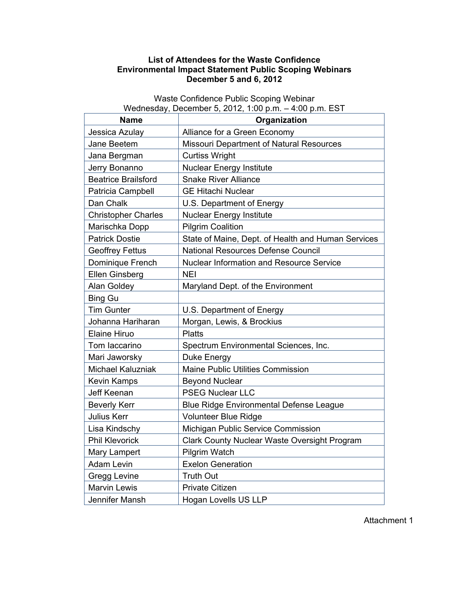## **List of Attendees for the Waste Confidence Environmental Impact Statement Public Scoping Webinars December 5 and 6, 2012**

**Name Organization** Jessica Azulay | Alliance for a Green Economy Jane Beetem **Nissouri Department of Natural Resources** Jana Bergman | Curtiss Wright Jerry Bonanno | Nuclear Energy Institute Beatrice Brailsford | Snake River Alliance Patricia Campbell | GE Hitachi Nuclear Dan Chalk **U.S. Department of Energy**  $Christopher Charles$  Nuclear Energy Institute Marischka Dopp | Pilgrim Coalition Patrick Dostie State of Maine, Dept. of Health and Human Services Geoffrey Fettus | National Resources Defense Council Dominique French | Nuclear Information and Resource Service Ellen Ginsberg | NEI Alan Goldey **Maryland Dept. of the Environment** Bing Gu Tim Gunter | U.S. Department of Energy Johanna Hariharan | Morgan, Lewis, & Brockius Elaine Hiruo | Platts Tom Iaccarino **Spectrum Environmental Sciences**, Inc. Mari Jaworsky | Duke Energy Michael Kaluzniak | Maine Public Utilities Commission Kevin Kamps Beyond Nuclear Jeff Keenan | PSEG Nuclear LLC Beverly Kerr **Blue Ridge Environmental Defense League** Julius Kerr **Volunteer Blue Ridge** Lisa Kindschy | Michigan Public Service Commission Phil Klevorick | Clark County Nuclear Waste Oversight Program Mary Lampert Pilgrim Watch Adam Levin | Exelon Generation Gregg Levine | Truth Out Marvin Lewis | Private Citizen Jennifer Mansh | Hogan Lovells US LLP

Waste Confidence Public Scoping Webinar Wednesday, December 5, 2012, 1:00 p.m. – 4:00 p.m. EST

Attachment 1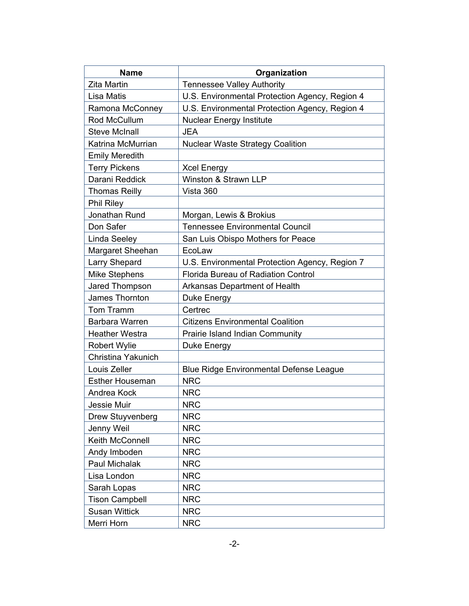| <b>Name</b>            | Organization                                   |
|------------------------|------------------------------------------------|
| <b>Zita Martin</b>     | <b>Tennessee Valley Authority</b>              |
| <b>Lisa Matis</b>      | U.S. Environmental Protection Agency, Region 4 |
| Ramona McConney        | U.S. Environmental Protection Agency, Region 4 |
| Rod McCullum           | <b>Nuclear Energy Institute</b>                |
| <b>Steve McInall</b>   | <b>JEA</b>                                     |
| Katrina McMurrian      | <b>Nuclear Waste Strategy Coalition</b>        |
| <b>Emily Meredith</b>  |                                                |
| <b>Terry Pickens</b>   | <b>Xcel Energy</b>                             |
| Darani Reddick         | Winston & Strawn LLP                           |
| <b>Thomas Reilly</b>   | Vista 360                                      |
| <b>Phil Riley</b>      |                                                |
| Jonathan Rund          | Morgan, Lewis & Brokius                        |
| Don Safer              | <b>Tennessee Environmental Council</b>         |
| Linda Seeley           | San Luis Obispo Mothers for Peace              |
| Margaret Sheehan       | EcoLaw                                         |
| <b>Larry Shepard</b>   | U.S. Environmental Protection Agency, Region 7 |
| <b>Mike Stephens</b>   | <b>Florida Bureau of Radiation Control</b>     |
| Jared Thompson         | Arkansas Department of Health                  |
| James Thornton         | Duke Energy                                    |
| Tom Tramm              | Certrec                                        |
| Barbara Warren         | <b>Citizens Environmental Coalition</b>        |
| <b>Heather Westra</b>  | Prairie Island Indian Community                |
| <b>Robert Wylie</b>    | Duke Energy                                    |
| Christina Yakunich     |                                                |
| Louis Zeller           | <b>Blue Ridge Environmental Defense League</b> |
| <b>Esther Houseman</b> | <b>NRC</b>                                     |
| Andrea Kock            | <b>NRC</b>                                     |
| <b>Jessie Muir</b>     | <b>NRC</b>                                     |
| Drew Stuyvenberg       | <b>NRC</b>                                     |
| Jenny Weil             | <b>NRC</b>                                     |
| Keith McConnell        | <b>NRC</b>                                     |
| Andy Imboden           | <b>NRC</b>                                     |
| Paul Michalak          | <b>NRC</b>                                     |
| Lisa London            | <b>NRC</b>                                     |
| Sarah Lopas            | <b>NRC</b>                                     |
| <b>Tison Campbell</b>  | <b>NRC</b>                                     |
| <b>Susan Wittick</b>   | <b>NRC</b>                                     |
| Merri Horn             | <b>NRC</b>                                     |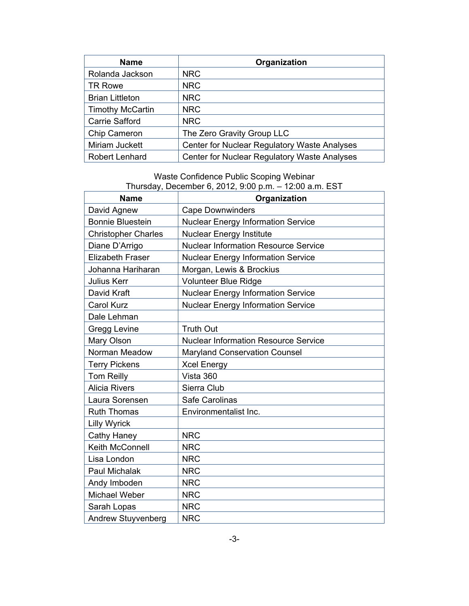| <b>Name</b>             | Organization                                 |
|-------------------------|----------------------------------------------|
| Rolanda Jackson         | <b>NRC</b>                                   |
| <b>TR Rowe</b>          | <b>NRC</b>                                   |
| <b>Brian Littleton</b>  | <b>NRC</b>                                   |
| <b>Timothy McCartin</b> | <b>NRC</b>                                   |
| <b>Carrie Safford</b>   | <b>NRC</b>                                   |
| Chip Cameron            | The Zero Gravity Group LLC                   |
| Miriam Juckett          | Center for Nuclear Regulatory Waste Analyses |
| <b>Robert Lenhard</b>   | Center for Nuclear Regulatory Waste Analyses |

Waste Confidence Public Scoping Webinar Thursday, December 6, 2012, 9:00 p.m. – 12:00 a.m. EST

| $1.1810000, 200011001, 0, 2012, 0.0019111.$ $12.00001111. 2011.$<br>Organization<br><b>Name</b> |                                             |
|-------------------------------------------------------------------------------------------------|---------------------------------------------|
|                                                                                                 |                                             |
| David Agnew                                                                                     | <b>Cape Downwinders</b>                     |
| <b>Bonnie Bluestein</b>                                                                         | <b>Nuclear Energy Information Service</b>   |
| <b>Christopher Charles</b>                                                                      | <b>Nuclear Energy Institute</b>             |
| Diane D'Arrigo                                                                                  | <b>Nuclear Information Resource Service</b> |
| <b>Elizabeth Fraser</b>                                                                         | <b>Nuclear Energy Information Service</b>   |
| Johanna Hariharan                                                                               | Morgan, Lewis & Brockius                    |
| Julius Kerr                                                                                     | <b>Volunteer Blue Ridge</b>                 |
| David Kraft                                                                                     | <b>Nuclear Energy Information Service</b>   |
| <b>Carol Kurz</b>                                                                               | <b>Nuclear Energy Information Service</b>   |
| Dale Lehman                                                                                     |                                             |
| Gregg Levine                                                                                    | <b>Truth Out</b>                            |
| Mary Olson                                                                                      | <b>Nuclear Information Resource Service</b> |
| Norman Meadow                                                                                   | <b>Maryland Conservation Counsel</b>        |
| <b>Terry Pickens</b>                                                                            | <b>Xcel Energy</b>                          |
| <b>Tom Reilly</b>                                                                               | Vista 360                                   |
| <b>Alicia Rivers</b>                                                                            | Sierra Club                                 |
| Laura Sorensen                                                                                  | Safe Carolinas                              |
| <b>Ruth Thomas</b>                                                                              | Environmentalist Inc.                       |
| <b>Lilly Wyrick</b>                                                                             |                                             |
| Cathy Haney                                                                                     | <b>NRC</b>                                  |
| Keith McConnell                                                                                 | <b>NRC</b>                                  |
| Lisa London                                                                                     | <b>NRC</b>                                  |
| Paul Michalak                                                                                   | <b>NRC</b>                                  |
| Andy Imboden                                                                                    | <b>NRC</b>                                  |
| Michael Weber                                                                                   | <b>NRC</b>                                  |
| Sarah Lopas                                                                                     | <b>NRC</b>                                  |
| <b>Andrew Stuyvenberg</b>                                                                       | <b>NRC</b>                                  |